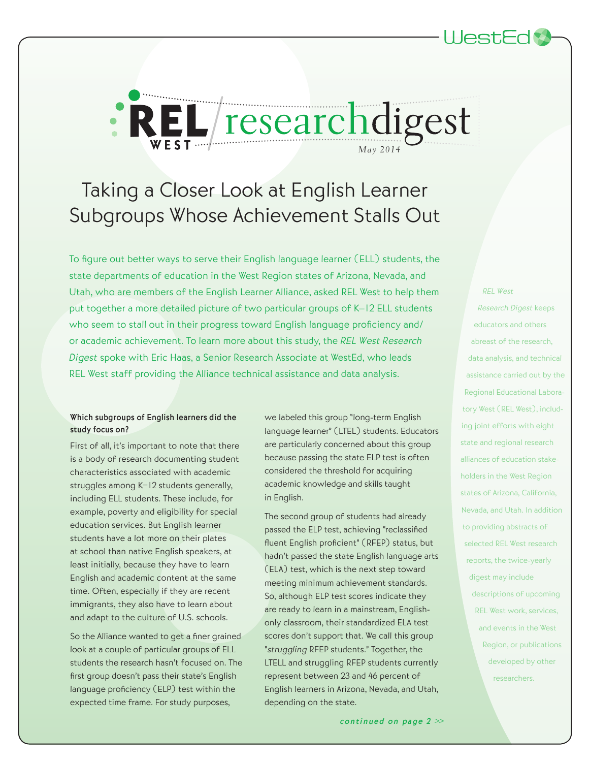# Taking a Closer Look at English Learner Subgroups Whose Achievement Stalls Out

*REL researchdigest* 

To figure out better ways to serve their English language learner (ELL) students, the state departments of education in the West Region states of Arizona, Nevada, and Utah, who are members of the English Learner Alliance, asked REL West to help them put together a more detailed picture of two particular groups of K–12 ELL students who seem to stall out in their progress toward English language proficiency and/ or academic achievement. To learn more about this study, the REL West Research Digest spoke with Eric Haas, a Senior Research Associate at WestEd, who leads REL West staff providing the Alliance technical assistance and data analysis.

### Which subgroups of English learners did the study focus on?

First of all, it's important to note that there is a body of research documenting student characteristics associated with academic struggles among K–12 students generally, including ELL students. These include, for example, poverty and eligibility for special education services. But English learner students have a lot more on their plates at school than native English speakers, at least initially, because they have to learn English and academic content at the same time. Often, especially if they are recent immigrants, they also have to learn about and adapt to the culture of U.S. schools.

So the Alliance wanted to get a finer grained look at a couple of particular groups of ELL students the research hasn't focused on. The first group doesn't pass their state's English language proficiency (ELP) test within the expected time frame. For study purposes,

we labeled this group "long-term English language learner" (LTEL) students. Educators are particularly concerned about this group because passing the state ELP test is often considered the threshold for acquiring academic knowledge and skills taught in English.

The second group of students had already passed the ELP test, achieving "reclassified fluent English proficient" (RFEP) status, but hadn't passed the state English language arts (ELA) test, which is the next step toward meeting minimum achievement standards. So, although ELP test scores indicate they are ready to learn in a mainstream, Englishonly classroom, their standardized ELA test scores don't support that. We call this group "struggling RFEP students." Together, the LTELL and struggling RFEP students currently represent between 23 and 46 percent of English learners in Arizona, Nevada, and Utah, depending on the state.

#### REL West

Research Digest keeps educators and others abreast of the research, data analysis, and technical assistance carried out by the Regional Educational Laboratory West (REL West), including joint efforts with eight state and regional research alliances of education stakeholders in the West Region states of Arizona, California, Nevada, and Utah. In addition to providing abstracts of selected REL West research reports, the twice-yearly digest may include descriptions of upcoming REL West work, services, and events in the West Region, or publications developed by other researchers.

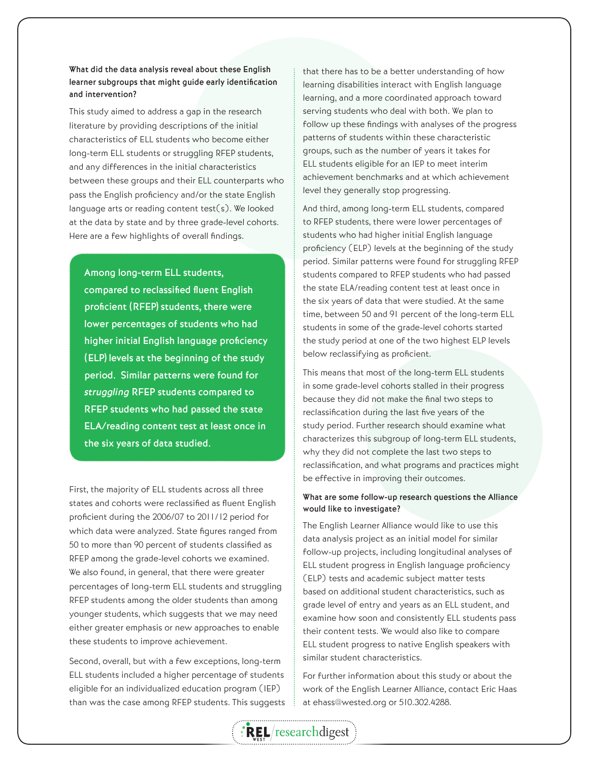### What did the data analysis reveal about these English learner subgroups that might guide early identification and intervention?

This study aimed to address a gap in the research literature by providing descriptions of the initial characteristics of ELL students who become either long-term ELL students or struggling RFEP students, and any differences in the initial characteristics between these groups and their ELL counterparts who pass the English proficiency and/or the state English language arts or reading content test(s). We looked at the data by state and by three grade-level cohorts. Here are a few highlights of overall findings.

Among long-term ELL students, compared to reclassified fluent English proficient (RFEP) students, there were lower percentages of students who had higher initial English language proficiency (ELP) levels at the beginning of the study period. Similar patterns were found for struggling RFEP students compared to RFEP students who had passed the state ELA/reading content test at least once in the six years of data studied.

First, the majority of ELL students across all three states and cohorts were reclassified as fluent English proficient during the 2006/07 to 2011/12 period for which data were analyzed. State figures ranged from 50 to more than 90 percent of students classified as RFEP among the grade-level cohorts we examined. We also found, in general, that there were greater percentages of long-term ELL students and struggling RFEP students among the older students than among younger students, which suggests that we may need either greater emphasis or new approaches to enable these students to improve achievement.

Second, overall, but with a few exceptions, long-term ELL students included a higher percentage of students eligible for an individualized education program (IEP) than was the case among RFEP students. This suggests that there has to be a better understanding of how learning disabilities interact with English language learning, and a more coordinated approach toward serving students who deal with both. We plan to follow up these findings with analyses of the progress patterns of students within these characteristic groups, such as the number of years it takes for ELL students eligible for an IEP to meet interim achievement benchmarks and at which achievement level they generally stop progressing.

And third, among long-term ELL students, compared to RFEP students, there were lower percentages of students who had higher initial English language proficiency (ELP) levels at the beginning of the study period. Similar patterns were found for struggling RFEP students compared to RFEP students who had passed the state ELA/reading content test at least once in the six years of data that were studied. At the same time, between 50 and 91 percent of the long-term ELL students in some of the grade-level cohorts started the study period at one of the two highest ELP levels below reclassifying as proficient.

This means that most of the long-term ELL students in some grade-level cohorts stalled in their progress because they did not make the final two steps to reclassification during the last five years of the study period. Further research should examine what characterizes this subgroup of long-term ELL students, why they did not complete the last two steps to reclassification, and what programs and practices might be effective in improving their outcomes.

### What are some follow-up research questions the Alliance would like to investigate?

The English Learner Alliance would like to use this data analysis project as an initial model for similar follow-up projects, including longitudinal analyses of ELL student progress in English language proficiency (ELP) tests and academic subject matter tests based on additional student characteristics, such as grade level of entry and years as an ELL student, and examine how soon and consistently ELL students pass their content tests. We would also like to compare ELL student progress to native English speakers with similar student characteristics.

For further information about this study or about the work of the English Learner Alliance, contact Eric Haas at ehass@wested.org or 510.302.4288.

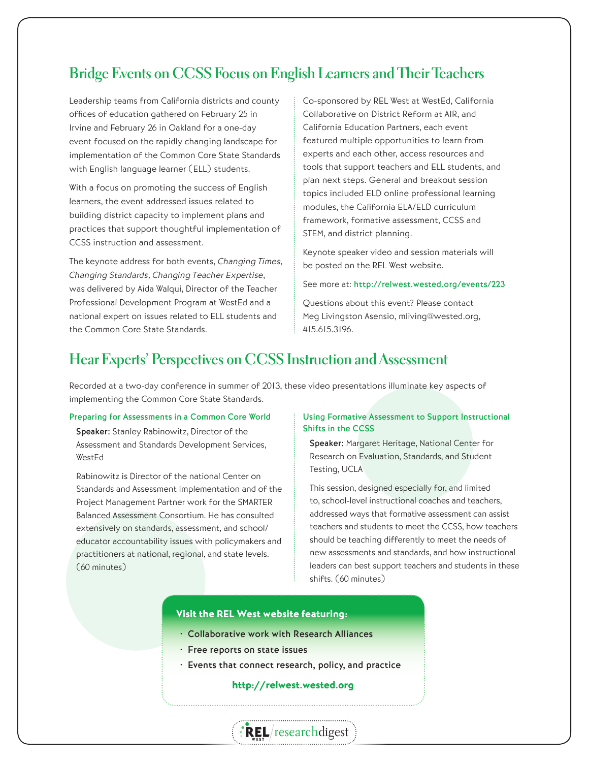# **Bridge Events on CCSS Focus on English Learners and Their Teachers**

Leadership teams from California districts and county offices of education gathered on February 25 in Irvine and February 26 in Oakland for a one-day event focused on the rapidly changing landscape for implementation of the Common Core State Standards with English language learner (ELL) students.

With a focus on promoting the success of English learners, the event addressed issues related to building district capacity to implement plans and practices that support thoughtful implementation of CCSS instruction and assessment.

The keynote address for both events, Changing Times, Changing Standards, Changing Teacher Expertise, was delivered by Aída Walqui, Director of the Teacher Professional Development Program at WestEd and a national expert on issues related to ELL students and the Common Core State Standards.

Co-sponsored by REL West at WestEd, California Collaborative on District Reform at AIR, and California Education Partners, each event featured multiple opportunities to learn from experts and each other, access resources and tools that support teachers and ELL students, and plan next steps. General and breakout session topics included ELD online professional learning modules, the California ELA/ELD curriculum framework, formative assessment, CCSS and STEM, and district planning.

Keynote speaker video and session materials will be posted on the REL West website.

See more at: http://relwest.wested.org/events/223

Questions about this event? Please contact Meg Livingston Asensio, mliving@wested.org, 415.615.3196.

# **Hear Experts' Perspectives on CCSS Instruction and Assessment**

Recorded at a two-day conference in summer of 2013, these video presentations illuminate key aspects of implementing the Common Core State Standards.

### Preparing for Assessments in a Common Core World

Speaker: Stanley Rabinowitz, Director of the Assessment and Standards Development Services, WestEd

Rabinowitz is Director of the national Center on Standards and Assessment Implementation and of the Project Management Partner work for the SMARTER Balanced Assessment Consortium. He has consulted extensively on standards, assessment, and school/ educator accountability issues with policymakers and practitioners at national, regional, and state levels. (60 minutes)

### Using Formative Assessment to Support Instructional Shifts in the CCSS

Speaker: Margaret Heritage, National Center for Research on Evaluation, Standards, and Student Testing, UCLA

This session, designed especially for, and limited to, school-level instructional coaches and teachers, addressed ways that formative assessment can assist teachers and students to meet the CCSS, how teachers should be teaching differently to meet the needs of new assessments and standards, and how instructional leaders can best support teachers and students in these shifts. (60 minutes)

### Visit the REL West website featuring:

- Collaborative work with Research Alliances
- Free reports on state issues
- Events that connect research, policy, and practice

### http://relwest.wested.org